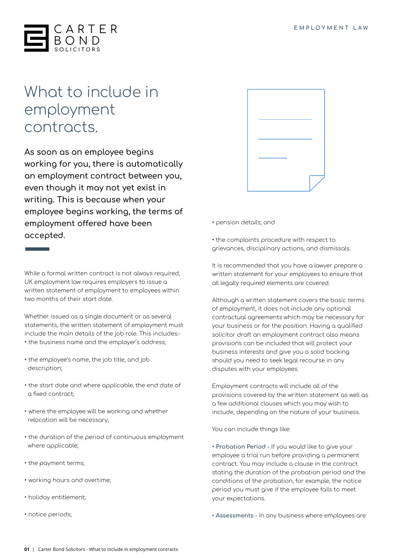

## What to include in employment contracts.

**As soon as an employee begins working for you, there is automatically an employment contract between you, even though it may not yet exist in writing. This is because when your employee begins working, the terms of employment offered have been accepted.**

• pension details; and

• the complaints procedure with respect to grievances, disciplinary actions, and dismissals.

It is recommended that you have a lawyer prepare a written statement for your employees to ensure that all legally required elements are covered.

Although a written statement covers the basic terms of employment, it does not include any optional contractual agreements which may be necessary for your business or for the position. Having a qualified solicitor draft an employment contract also means provisions can be included that will protect your business interests and give you a solid backing should you need to seek legal recourse in any disputes with your employees.

Employment contracts will include all of the provisions covered by the written statement as well as a few additional clauses which you may wish to include, depending on the nature of your business.

You can include things like:

**• Probation Period** - If you would like to give your employee a trial run before providing a permanent contract. You may include a clause in the contract stating the duration of the probation period and the conditions of the probation, for example, the notice period you must give if the employee fails to meet your expectations.

**• Assessments** - In any business where employees are

While a formal written contract is not always required, UK employment law requires employers to issue a written statement of employment to employees within two months of their start date.

Whether issued as a single document or as several statements, the written statement of employment must include the main details of the job role. This includes:- • the business name and the employer's address;

- the employee's name, the job title, and job description;
- the start date and where applicable, the end date of a fixed contract;
- where the employee will be working and whether relocation will be necessary;
- the duration of the period of continuous employment where applicable;
- the payment terms;
- working hours and overtime;
- holiday entitlement;
- notice periods;